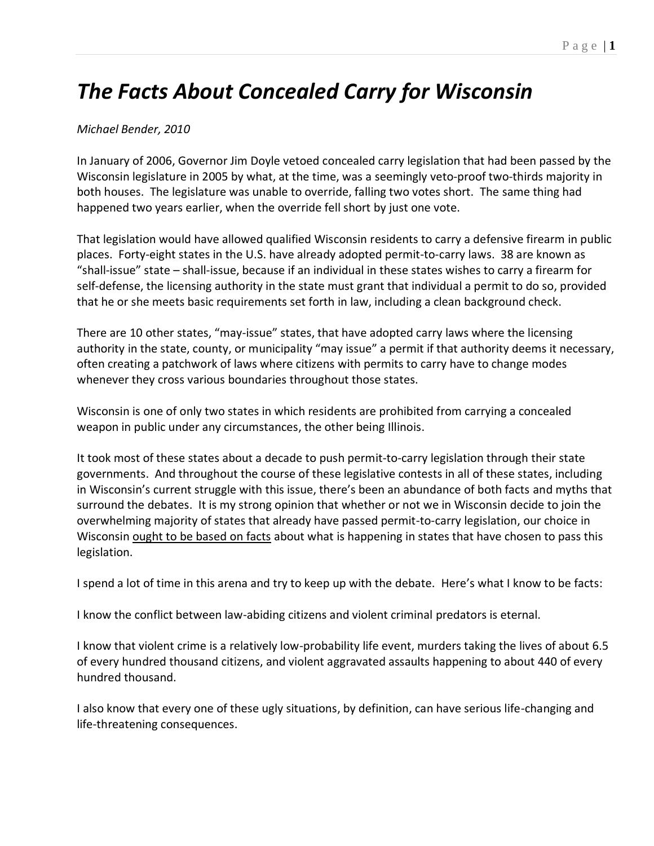# *The Facts About Concealed Carry for Wisconsin*

### *Michael Bender, 2010*

In January of 2006, Governor Jim Doyle vetoed concealed carry legislation that had been passed by the Wisconsin legislature in 2005 by what, at the time, was a seemingly veto-proof two-thirds majority in both houses. The legislature was unable to override, falling two votes short. The same thing had happened two years earlier, when the override fell short by just one vote.

That legislation would have allowed qualified Wisconsin residents to carry a defensive firearm in public places. Forty-eight states in the U.S. have already adopted permit-to-carry laws. 38 are known as "shall-issue" state – shall-issue, because if an individual in these states wishes to carry a firearm for self-defense, the licensing authority in the state must grant that individual a permit to do so, provided that he or she meets basic requirements set forth in law, including a clean background check.

There are 10 other states, "may-issue" states, that have adopted carry laws where the licensing authority in the state, county, or municipality "may issue" a permit if that authority deems it necessary, often creating a patchwork of laws where citizens with permits to carry have to change modes whenever they cross various boundaries throughout those states.

Wisconsin is one of only two states in which residents are prohibited from carrying a concealed weapon in public under any circumstances, the other being Illinois.

It took most of these states about a decade to push permit-to-carry legislation through their state governments. And throughout the course of these legislative contests in all of these states, including in Wisconsin's current struggle with this issue, there's been an abundance of both facts and myths that surround the debates. It is my strong opinion that whether or not we in Wisconsin decide to join the overwhelming majority of states that already have passed permit-to-carry legislation, our choice in Wisconsin ought to be based on facts about what is happening in states that have chosen to pass this legislation.

I spend a lot of time in this arena and try to keep up with the debate. Here's what I know to be facts:

I know the conflict between law-abiding citizens and violent criminal predators is eternal.

I know that violent crime is a relatively low-probability life event, murders taking the lives of about 6.5 of every hundred thousand citizens, and violent aggravated assaults happening to about 440 of every hundred thousand.

I also know that every one of these ugly situations, by definition, can have serious life-changing and life-threatening consequences.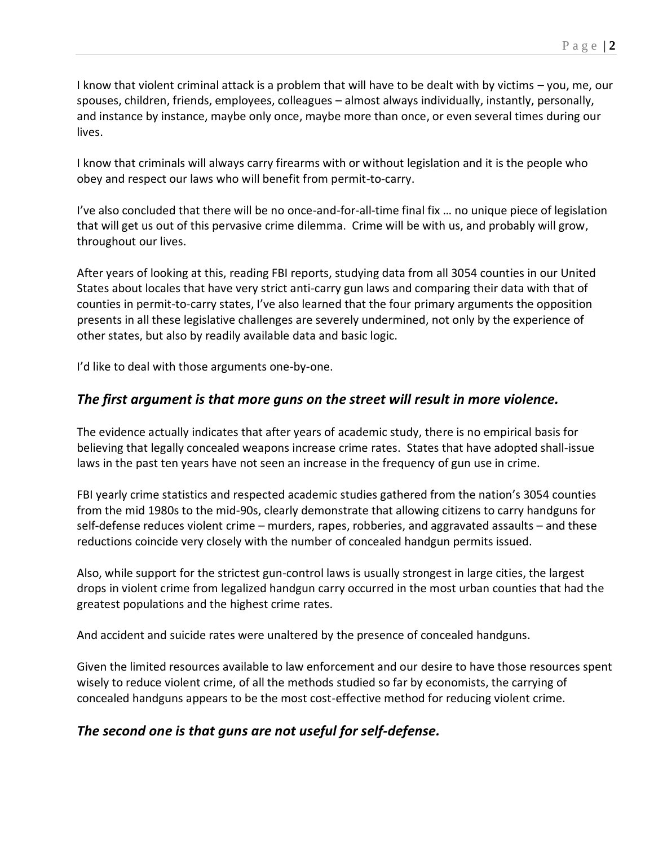I know that violent criminal attack is a problem that will have to be dealt with by victims – you, me, our spouses, children, friends, employees, colleagues – almost always individually, instantly, personally, and instance by instance, maybe only once, maybe more than once, or even several times during our lives.

I know that criminals will always carry firearms with or without legislation and it is the people who obey and respect our laws who will benefit from permit-to-carry.

I've also concluded that there will be no once-and-for-all-time final fix … no unique piece of legislation that will get us out of this pervasive crime dilemma. Crime will be with us, and probably will grow, throughout our lives.

After years of looking at this, reading FBI reports, studying data from all 3054 counties in our United States about locales that have very strict anti-carry gun laws and comparing their data with that of counties in permit-to-carry states, I've also learned that the four primary arguments the opposition presents in all these legislative challenges are severely undermined, not only by the experience of other states, but also by readily available data and basic logic.

I'd like to deal with those arguments one-by-one.

# *The first argument is that more guns on the street will result in more violence.*

The evidence actually indicates that after years of academic study, there is no empirical basis for believing that legally concealed weapons increase crime rates. States that have adopted shall-issue laws in the past ten years have not seen an increase in the frequency of gun use in crime.

FBI yearly crime statistics and respected academic studies gathered from the nation's 3054 counties from the mid 1980s to the mid-90s, clearly demonstrate that allowing citizens to carry handguns for self-defense reduces violent crime – murders, rapes, robberies, and aggravated assaults – and these reductions coincide very closely with the number of concealed handgun permits issued.

Also, while support for the strictest gun-control laws is usually strongest in large cities, the largest drops in violent crime from legalized handgun carry occurred in the most urban counties that had the greatest populations and the highest crime rates.

And accident and suicide rates were unaltered by the presence of concealed handguns.

Given the limited resources available to law enforcement and our desire to have those resources spent wisely to reduce violent crime, of all the methods studied so far by economists, the carrying of concealed handguns appears to be the most cost-effective method for reducing violent crime.

# *The second one is that guns are not useful for self-defense.*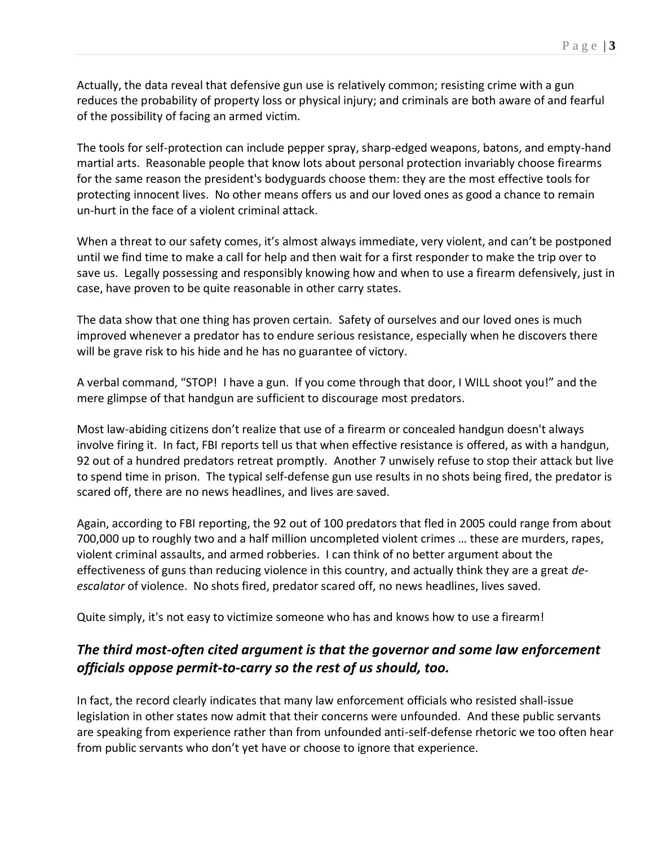Actually, the data reveal that defensive gun use is relatively common; resisting crime with a gun reduces the probability of property loss or physical injury; and criminals are both aware of and fearful of the possibility of facing an armed victim.

The tools for self-protection can include pepper spray, sharp-edged weapons, batons, and empty-hand martial arts. Reasonable people that know lots about personal protection invariably choose firearms for the same reason the president's bodyguards choose them: they are the most effective tools for protecting innocent lives. No other means offers us and our loved ones as good a chance to remain un-hurt in the face of a violent criminal attack.

When a threat to our safety comes, it's almost always immediate, very violent, and can't be postponed until we find time to make a call for help and then wait for a first responder to make the trip over to save us. Legally possessing and responsibly knowing how and when to use a firearm defensively, just in case, have proven to be quite reasonable in other carry states.

The data show that one thing has proven certain. Safety of ourselves and our loved ones is much improved whenever a predator has to endure serious resistance, especially when he discovers there will be grave risk to his hide and he has no guarantee of victory.

A verbal command, "STOP! I have a gun. If you come through that door, I WILL shoot you!" and the mere glimpse of that handgun are sufficient to discourage most predators.

Most law-abiding citizens don't realize that use of a firearm or concealed handgun doesn't always involve firing it. In fact, FBI reports tell us that when effective resistance is offered, as with a handgun, 92 out of a hundred predators retreat promptly. Another 7 unwisely refuse to stop their attack but live to spend time in prison. The typical self-defense gun use results in no shots being fired, the predator is scared off, there are no news headlines, and lives are saved.

Again, according to FBI reporting, the 92 out of 100 predators that fled in 2005 could range from about 700,000 up to roughly two and a half million uncompleted violent crimes … these are murders, rapes, violent criminal assaults, and armed robberies. I can think of no better argument about the effectiveness of guns than reducing violence in this country, and actually think they are a great *deescalator* of violence. No shots fired, predator scared off, no news headlines, lives saved.

Quite simply, it's not easy to victimize someone who has and knows how to use a firearm!

# *The third most-often cited argument is that the governor and some law enforcement officials oppose permit-to-carry so the rest of us should, too.*

In fact, the record clearly indicates that many law enforcement officials who resisted shall-issue legislation in other states now admit that their concerns were unfounded. And these public servants are speaking from experience rather than from unfounded anti-self-defense rhetoric we too often hear from public servants who don't yet have or choose to ignore that experience.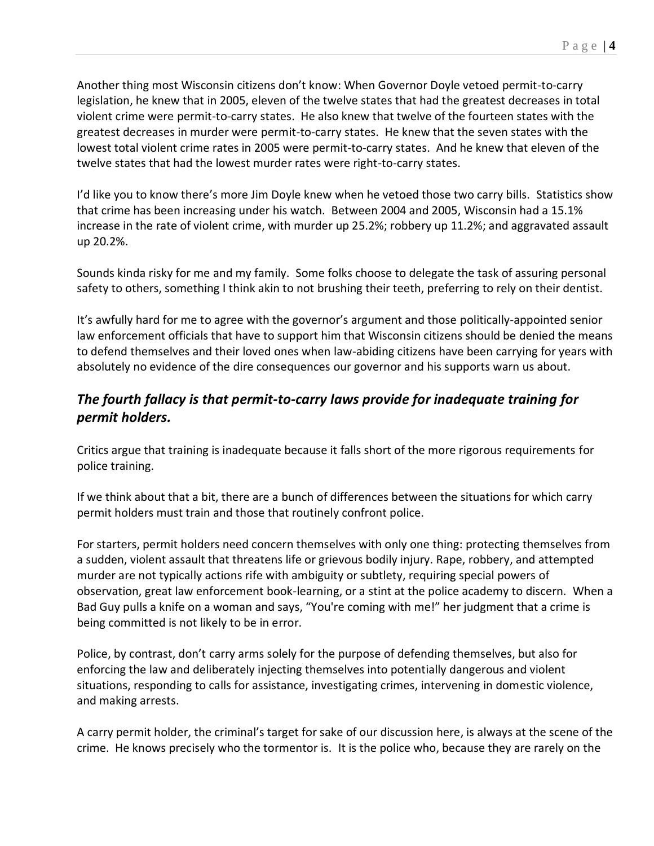Another thing most Wisconsin citizens don't know: When Governor Doyle vetoed permit-to-carry legislation, he knew that in 2005, eleven of the twelve states that had the greatest decreases in total violent crime were permit-to-carry states. He also knew that twelve of the fourteen states with the greatest decreases in murder were permit-to-carry states. He knew that the seven states with the lowest total violent crime rates in 2005 were permit-to-carry states. And he knew that eleven of the twelve states that had the lowest murder rates were right-to-carry states.

I'd like you to know there's more Jim Doyle knew when he vetoed those two carry bills. Statistics show that crime has been increasing under his watch. Between 2004 and 2005, Wisconsin had a 15.1% increase in the rate of violent crime, with murder up 25.2%; robbery up 11.2%; and aggravated assault up 20.2%.

Sounds kinda risky for me and my family. Some folks choose to delegate the task of assuring personal safety to others, something I think akin to not brushing their teeth, preferring to rely on their dentist.

It's awfully hard for me to agree with the governor's argument and those politically-appointed senior law enforcement officials that have to support him that Wisconsin citizens should be denied the means to defend themselves and their loved ones when law-abiding citizens have been carrying for years with absolutely no evidence of the dire consequences our governor and his supports warn us about.

# *The fourth fallacy is that permit-to-carry laws provide for inadequate training for permit holders.*

Critics argue that training is inadequate because it falls short of the more rigorous requirements for police training.

If we think about that a bit, there are a bunch of differences between the situations for which carry permit holders must train and those that routinely confront police.

For starters, permit holders need concern themselves with only one thing: protecting themselves from a sudden, violent assault that threatens life or grievous bodily injury. Rape, robbery, and attempted murder are not typically actions rife with ambiguity or subtlety, requiring special powers of observation, great law enforcement book-learning, or a stint at the police academy to discern. When a Bad Guy pulls a knife on a woman and says, "You're coming with me!" her judgment that a crime is being committed is not likely to be in error.

Police, by contrast, don't carry arms solely for the purpose of defending themselves, but also for enforcing the law and deliberately injecting themselves into potentially dangerous and violent situations, responding to calls for assistance, investigating crimes, intervening in domestic violence, and making arrests.

A carry permit holder, the criminal's target for sake of our discussion here, is always at the scene of the crime. He knows precisely who the tormentor is. It is the police who, because they are rarely on the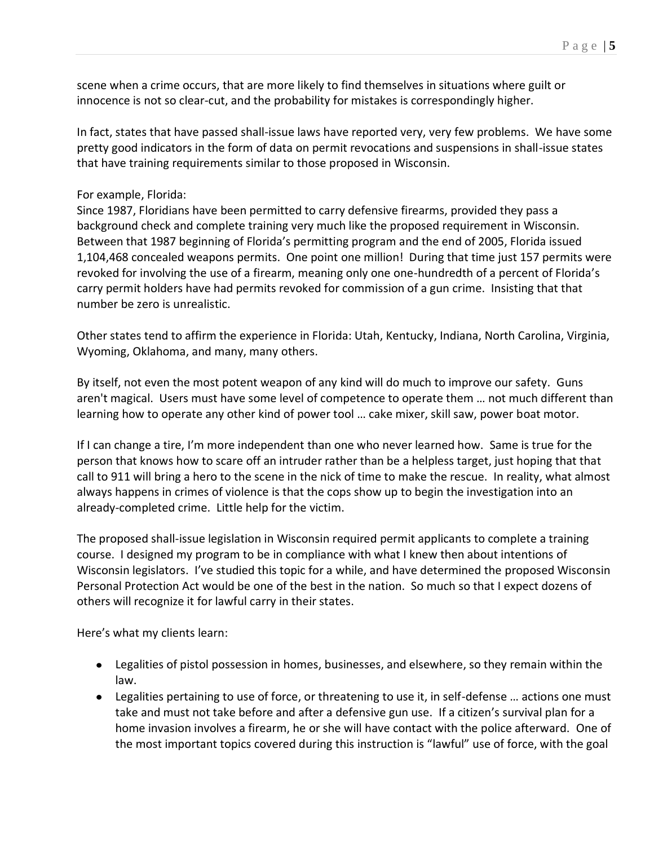scene when a crime occurs, that are more likely to find themselves in situations where guilt or innocence is not so clear-cut, and the probability for mistakes is correspondingly higher.

In fact, states that have passed shall-issue laws have reported very, very few problems. We have some pretty good indicators in the form of data on permit revocations and suspensions in shall-issue states that have training requirements similar to those proposed in Wisconsin.

### For example, Florida:

Since 1987, Floridians have been permitted to carry defensive firearms, provided they pass a background check and complete training very much like the proposed requirement in Wisconsin. Between that 1987 beginning of Florida's permitting program and the end of 2005, Florida issued 1,104,468 concealed weapons permits. One point one million! During that time just 157 permits were revoked for involving the use of a firearm, meaning only one one-hundredth of a percent of Florida's carry permit holders have had permits revoked for commission of a gun crime. Insisting that that number be zero is unrealistic.

Other states tend to affirm the experience in Florida: Utah, Kentucky, Indiana, North Carolina, Virginia, Wyoming, Oklahoma, and many, many others.

By itself, not even the most potent weapon of any kind will do much to improve our safety. Guns aren't magical. Users must have some level of competence to operate them … not much different than learning how to operate any other kind of power tool … cake mixer, skill saw, power boat motor.

If I can change a tire, I'm more independent than one who never learned how. Same is true for the person that knows how to scare off an intruder rather than be a helpless target, just hoping that that call to 911 will bring a hero to the scene in the nick of time to make the rescue. In reality, what almost always happens in crimes of violence is that the cops show up to begin the investigation into an already-completed crime. Little help for the victim.

The proposed shall-issue legislation in Wisconsin required permit applicants to complete a training course. I designed my program to be in compliance with what I knew then about intentions of Wisconsin legislators. I've studied this topic for a while, and have determined the proposed Wisconsin Personal Protection Act would be one of the best in the nation. So much so that I expect dozens of others will recognize it for lawful carry in their states.

Here's what my clients learn:

- Legalities of pistol possession in homes, businesses, and elsewhere, so they remain within the law.
- Legalities pertaining to use of force, or threatening to use it, in self-defense … actions one must take and must not take before and after a defensive gun use. If a citizen's survival plan for a home invasion involves a firearm, he or she will have contact with the police afterward. One of the most important topics covered during this instruction is "lawful" use of force, with the goal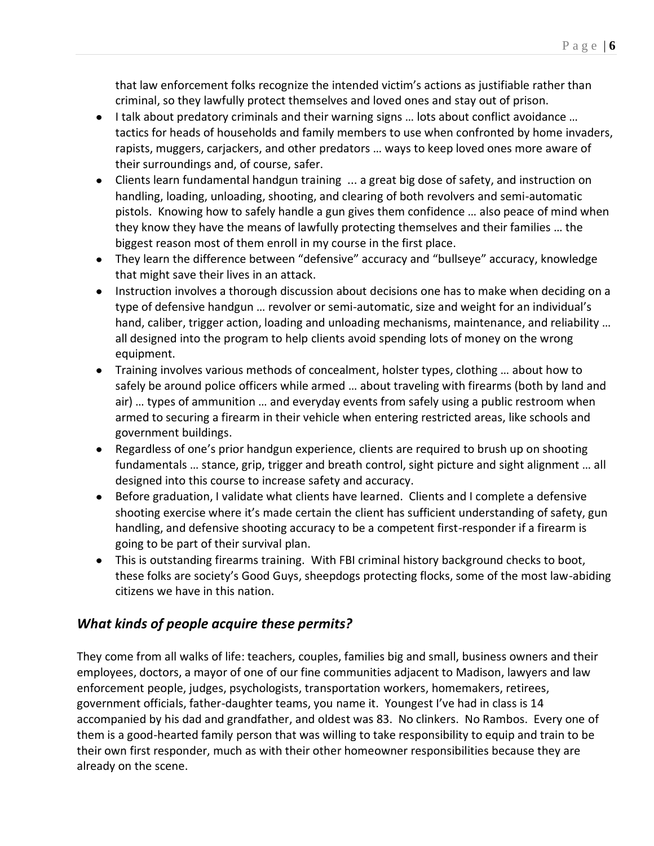that law enforcement folks recognize the intended victim's actions as justifiable rather than criminal, so they lawfully protect themselves and loved ones and stay out of prison.

- I talk about predatory criminals and their warning signs ... lots about conflict avoidance ... tactics for heads of households and family members to use when confronted by home invaders, rapists, muggers, carjackers, and other predators … ways to keep loved ones more aware of their surroundings and, of course, safer.
- Clients learn fundamental handgun training ... a great big dose of safety, and instruction on handling, loading, unloading, shooting, and clearing of both revolvers and semi-automatic pistols. Knowing how to safely handle a gun gives them confidence … also peace of mind when they know they have the means of lawfully protecting themselves and their families … the biggest reason most of them enroll in my course in the first place.
- They learn the difference between "defensive" accuracy and "bullseye" accuracy, knowledge that might save their lives in an attack.
- Instruction involves a thorough discussion about decisions one has to make when deciding on a type of defensive handgun … revolver or semi-automatic, size and weight for an individual's hand, caliber, trigger action, loading and unloading mechanisms, maintenance, and reliability ... all designed into the program to help clients avoid spending lots of money on the wrong equipment.
- Training involves various methods of concealment, holster types, clothing … about how to safely be around police officers while armed … about traveling with firearms (both by land and air) … types of ammunition … and everyday events from safely using a public restroom when armed to securing a firearm in their vehicle when entering restricted areas, like schools and government buildings.
- Regardless of one's prior handgun experience, clients are required to brush up on shooting fundamentals … stance, grip, trigger and breath control, sight picture and sight alignment … all designed into this course to increase safety and accuracy.
- Before graduation, I validate what clients have learned. Clients and I complete a defensive shooting exercise where it's made certain the client has sufficient understanding of safety, gun handling, and defensive shooting accuracy to be a competent first-responder if a firearm is going to be part of their survival plan.
- This is outstanding firearms training. With FBI criminal history background checks to boot, these folks are society's Good Guys, sheepdogs protecting flocks, some of the most law-abiding citizens we have in this nation.

# *What kinds of people acquire these permits?*

They come from all walks of life: teachers, couples, families big and small, business owners and their employees, doctors, a mayor of one of our fine communities adjacent to Madison, lawyers and law enforcement people, judges, psychologists, transportation workers, homemakers, retirees, government officials, father-daughter teams, you name it. Youngest I've had in class is 14 accompanied by his dad and grandfather, and oldest was 83. No clinkers. No Rambos. Every one of them is a good-hearted family person that was willing to take responsibility to equip and train to be their own first responder, much as with their other homeowner responsibilities because they are already on the scene.